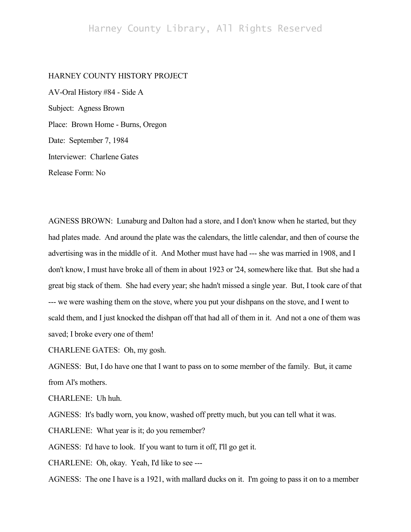# HARNEY COUNTY HISTORY PROJECT

AV-Oral History #84 - Side A Subject: Agness Brown Place: Brown Home - Burns, Oregon Date: September 7, 1984 Interviewer: Charlene Gates Release Form: No

AGNESS BROWN: Lunaburg and Dalton had a store, and I don't know when he started, but they had plates made. And around the plate was the calendars, the little calendar, and then of course the advertising was in the middle of it. And Mother must have had --- she was married in 1908, and I don't know, I must have broke all of them in about 1923 or '24, somewhere like that. But she had a great big stack of them. She had every year; she hadn't missed a single year. But, I took care of that --- we were washing them on the stove, where you put your dishpans on the stove, and I went to scald them, and I just knocked the dishpan off that had all of them in it. And not a one of them was saved; I broke every one of them!

CHARLENE GATES: Oh, my gosh.

AGNESS: But, I do have one that I want to pass on to some member of the family. But, it came from Al's mothers.

CHARLENE: Uh huh.

AGNESS: It's badly worn, you know, washed off pretty much, but you can tell what it was.

CHARLENE: What year is it; do you remember?

AGNESS: I'd have to look. If you want to turn it off, I'll go get it.

CHARLENE: Oh, okay. Yeah, I'd like to see ---

AGNESS: The one I have is a 1921, with mallard ducks on it. I'm going to pass it on to a member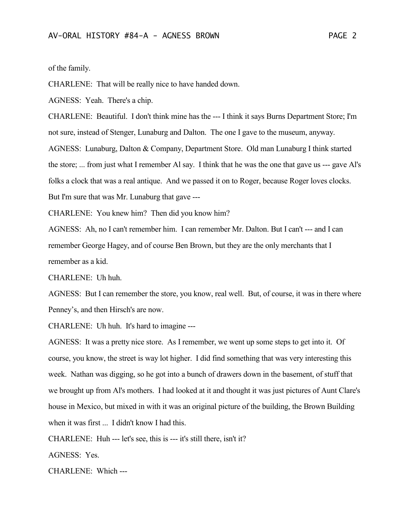of the family.

CHARLENE: That will be really nice to have handed down.

AGNESS: Yeah. There's a chip.

CHARLENE: Beautiful. I don't think mine has the --- I think it says Burns Department Store; I'm not sure, instead of Stenger, Lunaburg and Dalton. The one I gave to the museum, anyway. AGNESS: Lunaburg, Dalton & Company, Department Store. Old man Lunaburg I think started the store; ... from just what I remember Al say. I think that he was the one that gave us --- gave Al's folks a clock that was a real antique. And we passed it on to Roger, because Roger loves clocks. But I'm sure that was Mr. Lunaburg that gave ---

CHARLENE: You knew him? Then did you know him?

AGNESS: Ah, no I can't remember him. I can remember Mr. Dalton. But I can't --- and I can remember George Hagey, and of course Ben Brown, but they are the only merchants that I remember as a kid.

CHARLENE: Uh huh.

AGNESS: But I can remember the store, you know, real well. But, of course, it was in there where Penney's, and then Hirsch's are now.

CHARLENE: Uh huh. It's hard to imagine ---

AGNESS: It was a pretty nice store. As I remember, we went up some steps to get into it. Of course, you know, the street is way lot higher. I did find something that was very interesting this week. Nathan was digging, so he got into a bunch of drawers down in the basement, of stuff that we brought up from Al's mothers. I had looked at it and thought it was just pictures of Aunt Clare's house in Mexico, but mixed in with it was an original picture of the building, the Brown Building when it was first ... I didn't know I had this.

CHARLENE: Huh --- let's see, this is --- it's still there, isn't it?

AGNESS: Yes.

CHARLENE: Which ---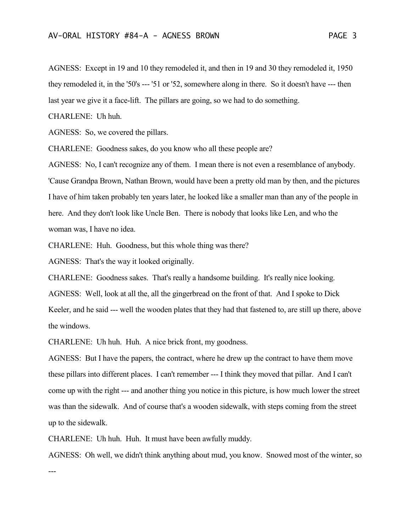AGNESS: Except in 19 and 10 they remodeled it, and then in 19 and 30 they remodeled it, 1950 they remodeled it, in the '50's --- '51 or '52, somewhere along in there. So it doesn't have --- then last year we give it a face-lift. The pillars are going, so we had to do something.

CHARLENE: Uh huh.

AGNESS: So, we covered the pillars.

CHARLENE: Goodness sakes, do you know who all these people are?

AGNESS: No, I can't recognize any of them. I mean there is not even a resemblance of anybody. 'Cause Grandpa Brown, Nathan Brown, would have been a pretty old man by then, and the pictures I have of him taken probably ten years later, he looked like a smaller man than any of the people in here. And they don't look like Uncle Ben. There is nobody that looks like Len, and who the woman was, I have no idea.

CHARLENE: Huh. Goodness, but this whole thing was there?

AGNESS: That's the way it looked originally.

CHARLENE: Goodness sakes. That's really a handsome building. It's really nice looking. AGNESS: Well, look at all the, all the gingerbread on the front of that. And I spoke to Dick Keeler, and he said --- well the wooden plates that they had that fastened to, are still up there, above the windows.

CHARLENE: Uh huh. Huh. A nice brick front, my goodness.

AGNESS: But I have the papers, the contract, where he drew up the contract to have them move these pillars into different places. I can't remember --- I think they moved that pillar. And I can't come up with the right --- and another thing you notice in this picture, is how much lower the street was than the sidewalk. And of course that's a wooden sidewalk, with steps coming from the street up to the sidewalk.

CHARLENE: Uh huh. Huh. It must have been awfully muddy.

AGNESS: Oh well, we didn't think anything about mud, you know. Snowed most of the winter, so

---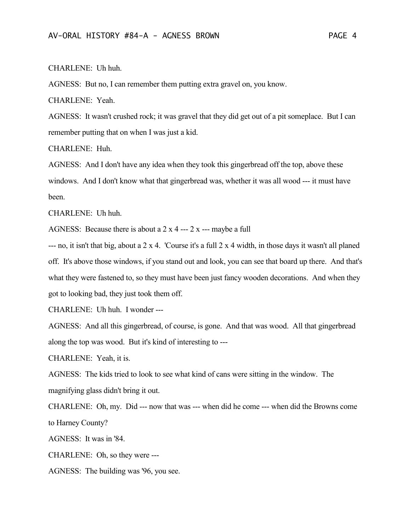### CHARLENE: Uh huh.

AGNESS: But no, I can remember them putting extra gravel on, you know.

CHARLENE: Yeah.

AGNESS: It wasn't crushed rock; it was gravel that they did get out of a pit someplace. But I can remember putting that on when I was just a kid.

CHARLENE: Huh.

AGNESS: And I don't have any idea when they took this gingerbread off the top, above these windows. And I don't know what that gingerbread was, whether it was all wood --- it must have been.

CHARLENE: Uh huh.

AGNESS: Because there is about a 2 x 4 --- 2 x --- maybe a full

--- no, it isn't that big, about a 2 x 4. 'Course it's a full 2 x 4 width, in those days it wasn't all planed off. It's above those windows, if you stand out and look, you can see that board up there. And that's what they were fastened to, so they must have been just fancy wooden decorations. And when they got to looking bad, they just took them off.

CHARLENE: Uh huh. I wonder ---

AGNESS: And all this gingerbread, of course, is gone. And that was wood. All that gingerbread along the top was wood. But it's kind of interesting to ---

CHARLENE: Yeah, it is.

AGNESS: The kids tried to look to see what kind of cans were sitting in the window. The magnifying glass didn't bring it out.

CHARLENE: Oh, my. Did --- now that was --- when did he come --- when did the Browns come to Harney County?

AGNESS: It was in '84.

CHARLENE: Oh, so they were ---

AGNESS: The building was '96, you see.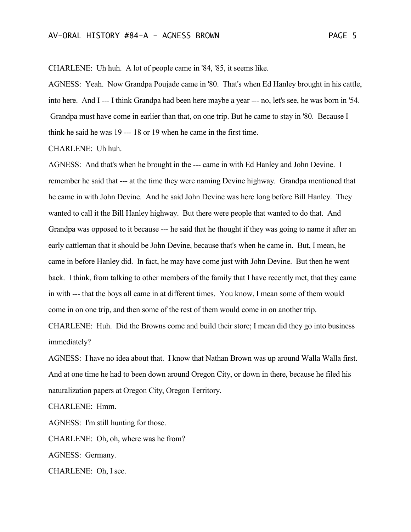CHARLENE: Uh huh. A lot of people came in '84, '85, it seems like.

AGNESS: Yeah. Now Grandpa Poujade came in '80. That's when Ed Hanley brought in his cattle, into here. And I --- I think Grandpa had been here maybe a year --- no, let's see, he was born in '54. Grandpa must have come in earlier than that, on one trip. But he came to stay in '80. Because I think he said he was 19 --- 18 or 19 when he came in the first time.

CHARLENE: Uh huh.

AGNESS: And that's when he brought in the --- came in with Ed Hanley and John Devine. I remember he said that --- at the time they were naming Devine highway. Grandpa mentioned that he came in with John Devine. And he said John Devine was here long before Bill Hanley. They wanted to call it the Bill Hanley highway. But there were people that wanted to do that. And Grandpa was opposed to it because --- he said that he thought if they was going to name it after an early cattleman that it should be John Devine, because that's when he came in. But, I mean, he came in before Hanley did. In fact, he may have come just with John Devine. But then he went back. I think, from talking to other members of the family that I have recently met, that they came in with --- that the boys all came in at different times. You know, I mean some of them would come in on one trip, and then some of the rest of them would come in on another trip.

CHARLENE: Huh. Did the Browns come and build their store; I mean did they go into business immediately?

AGNESS: I have no idea about that. I know that Nathan Brown was up around Walla Walla first. And at one time he had to been down around Oregon City, or down in there, because he filed his naturalization papers at Oregon City, Oregon Territory.

CHARLENE: Hmm.

AGNESS: I'm still hunting for those. CHARLENE: Oh, oh, where was he from? AGNESS: Germany. CHARLENE: Oh, I see.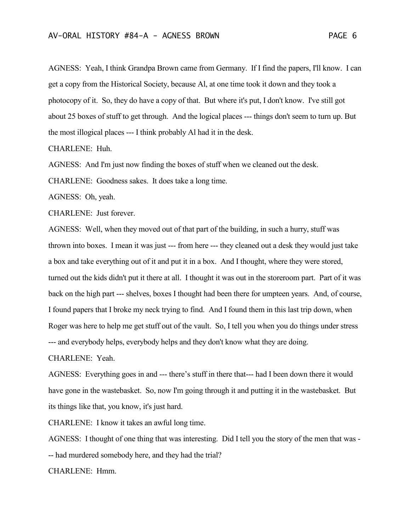AGNESS: Yeah, I think Grandpa Brown came from Germany. If I find the papers, I'll know. I can get a copy from the Historical Society, because Al, at one time took it down and they took a photocopy of it. So, they do have a copy of that. But where it's put, I don't know. I've still got about 25 boxes of stuff to get through. And the logical places --- things don't seem to turn up. But the most illogical places --- I think probably Al had it in the desk.

CHARLENE: Huh.

AGNESS: And I'm just now finding the boxes of stuff when we cleaned out the desk.

CHARLENE: Goodness sakes. It does take a long time.

AGNESS: Oh, yeah.

CHARLENE: Just forever.

AGNESS: Well, when they moved out of that part of the building, in such a hurry, stuff was thrown into boxes. I mean it was just --- from here --- they cleaned out a desk they would just take a box and take everything out of it and put it in a box. And I thought, where they were stored, turned out the kids didn't put it there at all. I thought it was out in the storeroom part. Part of it was back on the high part --- shelves, boxes I thought had been there for umpteen years. And, of course, I found papers that I broke my neck trying to find. And I found them in this last trip down, when Roger was here to help me get stuff out of the vault. So, I tell you when you do things under stress --- and everybody helps, everybody helps and they don't know what they are doing.

CHARLENE: Yeah.

AGNESS: Everything goes in and --- there's stuff in there that--- had I been down there it would have gone in the wastebasket. So, now I'm going through it and putting it in the wastebasket. But its things like that, you know, it's just hard.

CHARLENE: I know it takes an awful long time.

AGNESS: I thought of one thing that was interesting. Did I tell you the story of the men that was - -- had murdered somebody here, and they had the trial?

CHARLENE: Hmm.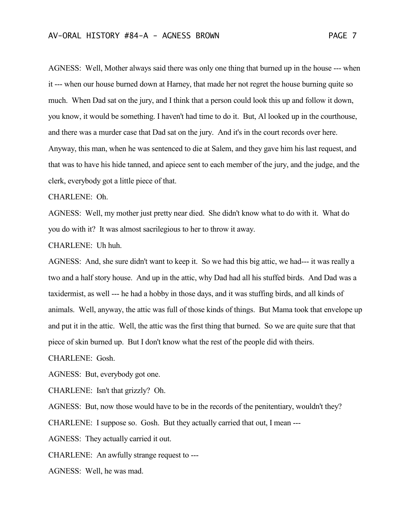AGNESS: Well, Mother always said there was only one thing that burned up in the house --- when it --- when our house burned down at Harney, that made her not regret the house burning quite so much. When Dad sat on the jury, and I think that a person could look this up and follow it down, you know, it would be something. I haven't had time to do it. But, Al looked up in the courthouse, and there was a murder case that Dad sat on the jury. And it's in the court records over here. Anyway, this man, when he was sentenced to die at Salem, and they gave him his last request, and that was to have his hide tanned, and apiece sent to each member of the jury, and the judge, and the clerk, everybody got a little piece of that.

CHARLENE: Oh.

AGNESS: Well, my mother just pretty near died. She didn't know what to do with it. What do you do with it? It was almost sacrilegious to her to throw it away.

CHARLENE: Uh huh.

AGNESS: And, she sure didn't want to keep it. So we had this big attic, we had--- it was really a two and a half story house. And up in the attic, why Dad had all his stuffed birds. And Dad was a taxidermist, as well --- he had a hobby in those days, and it was stuffing birds, and all kinds of animals. Well, anyway, the attic was full of those kinds of things. But Mama took that envelope up and put it in the attic. Well, the attic was the first thing that burned. So we are quite sure that that piece of skin burned up. But I don't know what the rest of the people did with theirs.

CHARLENE: Gosh.

AGNESS: But, everybody got one.

CHARLENE: Isn't that grizzly? Oh.

AGNESS: But, now those would have to be in the records of the penitentiary, wouldn't they?

CHARLENE: I suppose so. Gosh. But they actually carried that out, I mean ---

AGNESS: They actually carried it out.

CHARLENE: An awfully strange request to ---

AGNESS: Well, he was mad.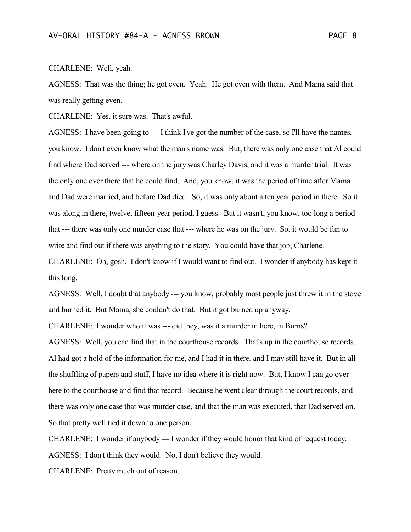## CHARLENE: Well, yeah.

AGNESS: That was the thing; he got even. Yeah. He got even with them. And Mama said that was really getting even.

CHARLENE: Yes, it sure was. That's awful.

AGNESS: I have been going to --- I think I've got the number of the case, so I'll have the names, you know. I don't even know what the man's name was. But, there was only one case that Al could find where Dad served --- where on the jury was Charley Davis, and it was a murder trial. It was the only one over there that he could find. And, you know, it was the period of time after Mama and Dad were married, and before Dad died. So, it was only about a ten year period in there. So it was along in there, twelve, fifteen-year period, I guess. But it wasn't, you know, too long a period that --- there was only one murder case that --- where he was on the jury. So, it would be fun to write and find out if there was anything to the story. You could have that job, Charlene.

CHARLENE: Oh, gosh. I don't know if I would want to find out. I wonder if anybody has kept it this long.

AGNESS: Well, I doubt that anybody --- you know, probably most people just threw it in the stove and burned it. But Mama, she couldn't do that. But it got burned up anyway.

CHARLENE: I wonder who it was --- did they, was it a murder in here, in Burns?

AGNESS: Well, you can find that in the courthouse records. That's up in the courthouse records. Al had got a hold of the information for me, and I had it in there, and I may still have it. But in all the shuffling of papers and stuff, I have no idea where it is right now. But, I know I can go over here to the courthouse and find that record. Because he went clear through the court records, and there was only one case that was murder case, and that the man was executed, that Dad served on. So that pretty well tied it down to one person.

CHARLENE: I wonder if anybody --- I wonder if they would honor that kind of request today. AGNESS: I don't think they would. No, I don't believe they would.

CHARLENE: Pretty much out of reason.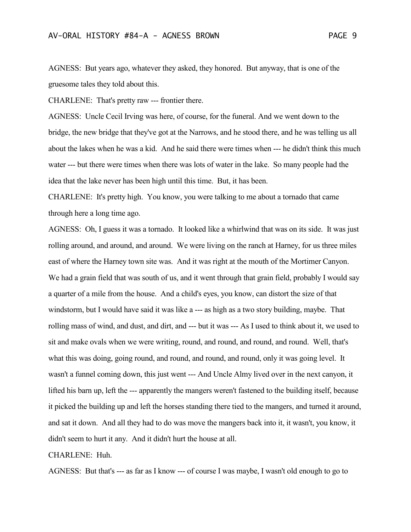AGNESS: But years ago, whatever they asked, they honored. But anyway, that is one of the gruesome tales they told about this.

CHARLENE: That's pretty raw --- frontier there.

AGNESS: Uncle Cecil Irving was here, of course, for the funeral. And we went down to the bridge, the new bridge that they've got at the Narrows, and he stood there, and he was telling us all about the lakes when he was a kid. And he said there were times when --- he didn't think this much water --- but there were times when there was lots of water in the lake. So many people had the idea that the lake never has been high until this time. But, it has been.

CHARLENE: It's pretty high. You know, you were talking to me about a tornado that came through here a long time ago.

AGNESS: Oh, I guess it was a tornado. It looked like a whirlwind that was on its side. It was just rolling around, and around, and around. We were living on the ranch at Harney, for us three miles east of where the Harney town site was. And it was right at the mouth of the Mortimer Canyon. We had a grain field that was south of us, and it went through that grain field, probably I would say a quarter of a mile from the house. And a child's eyes, you know, can distort the size of that windstorm, but I would have said it was like a --- as high as a two story building, maybe. That rolling mass of wind, and dust, and dirt, and --- but it was --- As I used to think about it, we used to sit and make ovals when we were writing, round, and round, and round, and round. Well, that's what this was doing, going round, and round, and round, and round, only it was going level. It wasn't a funnel coming down, this just went --- And Uncle Almy lived over in the next canyon, it lifted his barn up, left the --- apparently the mangers weren't fastened to the building itself, because it picked the building up and left the horses standing there tied to the mangers, and turned it around, and sat it down. And all they had to do was move the mangers back into it, it wasn't, you know, it didn't seem to hurt it any. And it didn't hurt the house at all.

CHARLENE: Huh.

AGNESS: But that's --- as far as I know --- of course I was maybe, I wasn't old enough to go to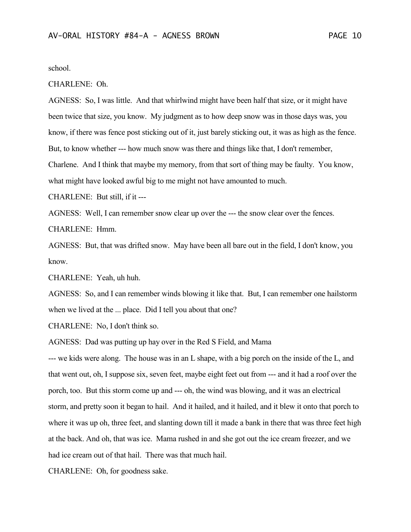school.

#### CHARLENE: Oh.

AGNESS: So, I was little. And that whirlwind might have been half that size, or it might have been twice that size, you know. My judgment as to how deep snow was in those days was, you know, if there was fence post sticking out of it, just barely sticking out, it was as high as the fence. But, to know whether --- how much snow was there and things like that, I don't remember, Charlene. And I think that maybe my memory, from that sort of thing may be faulty. You know, what might have looked awful big to me might not have amounted to much.

CHARLENE: But still, if it ---

AGNESS: Well, I can remember snow clear up over the --- the snow clear over the fences.

CHARLENE: Hmm.

AGNESS: But, that was drifted snow. May have been all bare out in the field, I don't know, you know.

CHARLENE: Yeah, uh huh.

AGNESS: So, and I can remember winds blowing it like that. But, I can remember one hailstorm when we lived at the ... place. Did I tell you about that one?

CHARLENE: No, I don't think so.

AGNESS: Dad was putting up hay over in the Red S Field, and Mama

--- we kids were along. The house was in an L shape, with a big porch on the inside of the L, and that went out, oh, I suppose six, seven feet, maybe eight feet out from --- and it had a roof over the porch, too. But this storm come up and --- oh, the wind was blowing, and it was an electrical storm, and pretty soon it began to hail. And it hailed, and it hailed, and it blew it onto that porch to where it was up oh, three feet, and slanting down till it made a bank in there that was three feet high at the back. And oh, that was ice. Mama rushed in and she got out the ice cream freezer, and we had ice cream out of that hail. There was that much hail.

CHARLENE: Oh, for goodness sake.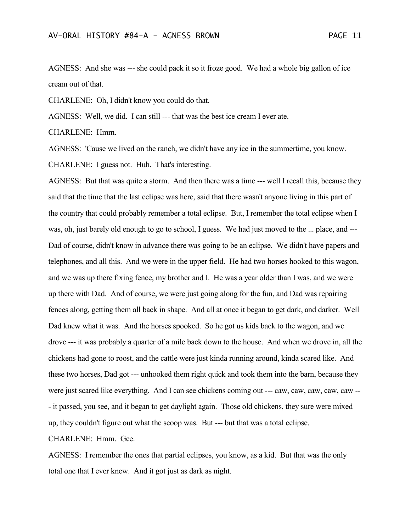AGNESS: And she was --- she could pack it so it froze good. We had a whole big gallon of ice cream out of that.

CHARLENE: Oh, I didn't know you could do that.

AGNESS: Well, we did. I can still --- that was the best ice cream I ever ate.

CHARLENE: Hmm.

AGNESS: 'Cause we lived on the ranch, we didn't have any ice in the summertime, you know. CHARLENE: I guess not. Huh. That's interesting.

AGNESS: But that was quite a storm. And then there was a time --- well I recall this, because they said that the time that the last eclipse was here, said that there wasn't anyone living in this part of the country that could probably remember a total eclipse. But, I remember the total eclipse when I was, oh, just barely old enough to go to school, I guess. We had just moved to the ... place, and --- Dad of course, didn't know in advance there was going to be an eclipse. We didn't have papers and telephones, and all this. And we were in the upper field. He had two horses hooked to this wagon, and we was up there fixing fence, my brother and I. He was a year older than I was, and we were up there with Dad. And of course, we were just going along for the fun, and Dad was repairing fences along, getting them all back in shape. And all at once it began to get dark, and darker. Well Dad knew what it was. And the horses spooked. So he got us kids back to the wagon, and we drove --- it was probably a quarter of a mile back down to the house. And when we drove in, all the chickens had gone to roost, and the cattle were just kinda running around, kinda scared like. And these two horses, Dad got --- unhooked them right quick and took them into the barn, because they were just scared like everything. And I can see chickens coming out --- caw, caw, caw, caw, caw -- - it passed, you see, and it began to get daylight again. Those old chickens, they sure were mixed up, they couldn't figure out what the scoop was. But --- but that was a total eclipse. CHARLENE: Hmm. Gee.

AGNESS: I remember the ones that partial eclipses, you know, as a kid. But that was the only total one that I ever knew. And it got just as dark as night.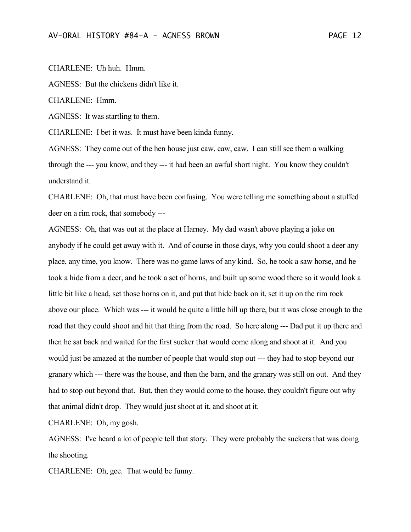CHARLENE: Uh huh. Hmm.

AGNESS: But the chickens didn't like it.

CHARLENE: Hmm.

AGNESS: It was startling to them.

CHARLENE: I bet it was. It must have been kinda funny.

AGNESS: They come out of the hen house just caw, caw, caw. I can still see them a walking through the --- you know, and they --- it had been an awful short night. You know they couldn't understand it.

CHARLENE: Oh, that must have been confusing. You were telling me something about a stuffed deer on a rim rock, that somebody ---

AGNESS: Oh, that was out at the place at Harney. My dad wasn't above playing a joke on anybody if he could get away with it. And of course in those days, why you could shoot a deer any place, any time, you know. There was no game laws of any kind. So, he took a saw horse, and he took a hide from a deer, and he took a set of horns, and built up some wood there so it would look a little bit like a head, set those horns on it, and put that hide back on it, set it up on the rim rock above our place. Which was --- it would be quite a little hill up there, but it was close enough to the road that they could shoot and hit that thing from the road. So here along --- Dad put it up there and then he sat back and waited for the first sucker that would come along and shoot at it. And you would just be amazed at the number of people that would stop out --- they had to stop beyond our granary which --- there was the house, and then the barn, and the granary was still on out. And they had to stop out beyond that. But, then they would come to the house, they couldn't figure out why that animal didn't drop. They would just shoot at it, and shoot at it.

CHARLENE: Oh, my gosh.

AGNESS: I've heard a lot of people tell that story. They were probably the suckers that was doing the shooting.

CHARLENE: Oh, gee. That would be funny.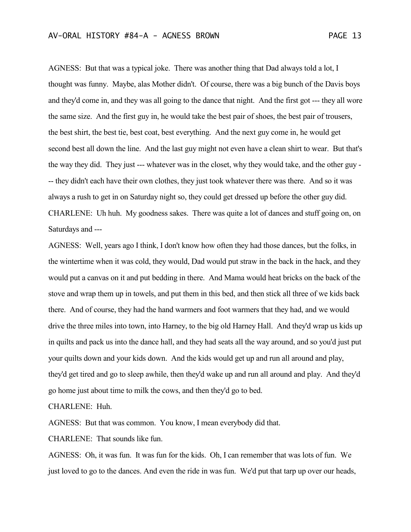AGNESS: But that was a typical joke. There was another thing that Dad always told a lot, I thought was funny. Maybe, alas Mother didn't. Of course, there was a big bunch of the Davis boys and they'd come in, and they was all going to the dance that night. And the first got --- they all wore the same size. And the first guy in, he would take the best pair of shoes, the best pair of trousers, the best shirt, the best tie, best coat, best everything. And the next guy come in, he would get second best all down the line. And the last guy might not even have a clean shirt to wear. But that's the way they did. They just --- whatever was in the closet, why they would take, and the other guy - -- they didn't each have their own clothes, they just took whatever there was there. And so it was always a rush to get in on Saturday night so, they could get dressed up before the other guy did. CHARLENE: Uh huh. My goodness sakes. There was quite a lot of dances and stuff going on, on Saturdays and ---

AGNESS: Well, years ago I think, I don't know how often they had those dances, but the folks, in the wintertime when it was cold, they would, Dad would put straw in the back in the hack, and they would put a canvas on it and put bedding in there. And Mama would heat bricks on the back of the stove and wrap them up in towels, and put them in this bed, and then stick all three of we kids back there. And of course, they had the hand warmers and foot warmers that they had, and we would drive the three miles into town, into Harney, to the big old Harney Hall. And they'd wrap us kids up in quilts and pack us into the dance hall, and they had seats all the way around, and so you'd just put your quilts down and your kids down. And the kids would get up and run all around and play, they'd get tired and go to sleep awhile, then they'd wake up and run all around and play. And they'd go home just about time to milk the cows, and then they'd go to bed.

CHARLENE: Huh.

AGNESS: But that was common. You know, I mean everybody did that.

CHARLENE: That sounds like fun.

AGNESS: Oh, it was fun. It was fun for the kids. Oh, I can remember that was lots of fun. We just loved to go to the dances. And even the ride in was fun. We'd put that tarp up over our heads,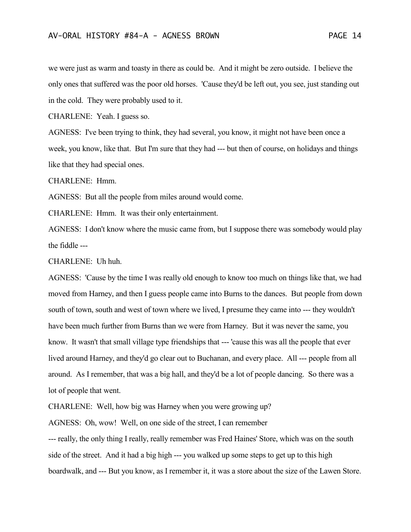we were just as warm and toasty in there as could be. And it might be zero outside. I believe the only ones that suffered was the poor old horses. 'Cause they'd be left out, you see, just standing out in the cold. They were probably used to it.

CHARLENE: Yeah. I guess so.

AGNESS: I've been trying to think, they had several, you know, it might not have been once a week, you know, like that. But I'm sure that they had --- but then of course, on holidays and things like that they had special ones.

CHARLENE: Hmm.

AGNESS: But all the people from miles around would come.

CHARLENE: Hmm. It was their only entertainment.

AGNESS: I don't know where the music came from, but I suppose there was somebody would play the fiddle ---

CHARLENE: Uh huh.

AGNESS: 'Cause by the time I was really old enough to know too much on things like that, we had moved from Harney, and then I guess people came into Burns to the dances. But people from down south of town, south and west of town where we lived, I presume they came into --- they wouldn't have been much further from Burns than we were from Harney. But it was never the same, you know. It wasn't that small village type friendships that --- 'cause this was all the people that ever lived around Harney, and they'd go clear out to Buchanan, and every place. All --- people from all around. As I remember, that was a big hall, and they'd be a lot of people dancing. So there was a lot of people that went.

CHARLENE: Well, how big was Harney when you were growing up?

AGNESS: Oh, wow! Well, on one side of the street, I can remember

--- really, the only thing I really, really remember was Fred Haines' Store, which was on the south side of the street. And it had a big high --- you walked up some steps to get up to this high boardwalk, and --- But you know, as I remember it, it was a store about the size of the Lawen Store.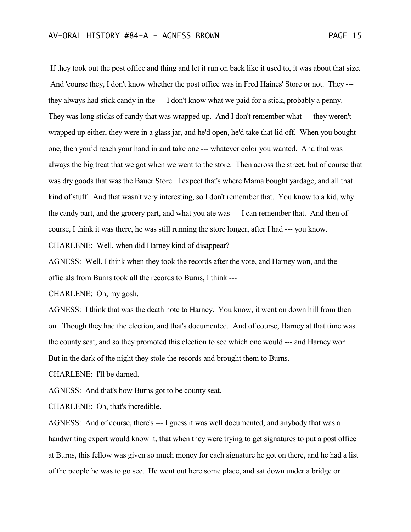If they took out the post office and thing and let it run on back like it used to, it was about that size. And 'course they, I don't know whether the post office was in Fred Haines' Store or not. They -- they always had stick candy in the --- I don't know what we paid for a stick, probably a penny. They was long sticks of candy that was wrapped up. And I don't remember what --- they weren't wrapped up either, they were in a glass jar, and he'd open, he'd take that lid off. When you bought one, then you'd reach your hand in and take one --- whatever color you wanted. And that was always the big treat that we got when we went to the store. Then across the street, but of course that was dry goods that was the Bauer Store. I expect that's where Mama bought yardage, and all that kind of stuff. And that wasn't very interesting, so I don't remember that. You know to a kid, why the candy part, and the grocery part, and what you ate was --- I can remember that. And then of course, I think it was there, he was still running the store longer, after I had --- you know. CHARLENE: Well, when did Harney kind of disappear?

AGNESS: Well, I think when they took the records after the vote, and Harney won, and the officials from Burns took all the records to Burns, I think ---

CHARLENE: Oh, my gosh.

AGNESS: I think that was the death note to Harney. You know, it went on down hill from then on. Though they had the election, and that's documented. And of course, Harney at that time was the county seat, and so they promoted this election to see which one would --- and Harney won. But in the dark of the night they stole the records and brought them to Burns.

CHARLENE: I'll be darned.

AGNESS: And that's how Burns got to be county seat.

CHARLENE: Oh, that's incredible.

AGNESS: And of course, there's --- I guess it was well documented, and anybody that was a handwriting expert would know it, that when they were trying to get signatures to put a post office at Burns, this fellow was given so much money for each signature he got on there, and he had a list of the people he was to go see. He went out here some place, and sat down under a bridge or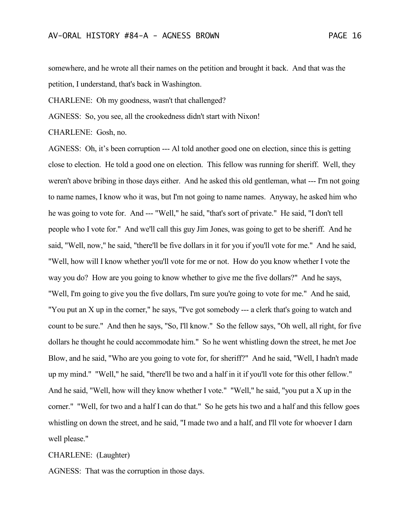somewhere, and he wrote all their names on the petition and brought it back. And that was the petition, I understand, that's back in Washington.

CHARLENE: Oh my goodness, wasn't that challenged?

AGNESS: So, you see, all the crookedness didn't start with Nixon!

CHARLENE: Gosh, no.

AGNESS: Oh, it's been corruption --- Al told another good one on election, since this is getting close to election. He told a good one on election. This fellow was running for sheriff. Well, they weren't above bribing in those days either. And he asked this old gentleman, what --- I'm not going to name names, I know who it was, but I'm not going to name names. Anyway, he asked him who he was going to vote for. And --- "Well," he said, "that's sort of private." He said, "I don't tell people who I vote for." And we'll call this guy Jim Jones, was going to get to be sheriff. And he said, "Well, now," he said, "there'll be five dollars in it for you if you'll vote for me." And he said, "Well, how will I know whether you'll vote for me or not. How do you know whether I vote the way you do? How are you going to know whether to give me the five dollars?" And he says, "Well, I'm going to give you the five dollars, I'm sure you're going to vote for me." And he said, "You put an X up in the corner," he says, "I've got somebody --- a clerk that's going to watch and count to be sure." And then he says, "So, I'll know." So the fellow says, "Oh well, all right, for five dollars he thought he could accommodate him." So he went whistling down the street, he met Joe Blow, and he said, "Who are you going to vote for, for sheriff?" And he said, "Well, I hadn't made up my mind." "Well," he said, "there'll be two and a half in it if you'll vote for this other fellow." And he said, "Well, how will they know whether I vote." "Well," he said, "you put a X up in the corner." "Well, for two and a half I can do that." So he gets his two and a half and this fellow goes whistling on down the street, and he said, "I made two and a half, and I'll vote for whoever I darn well please."

## CHARLENE: (Laughter)

AGNESS: That was the corruption in those days.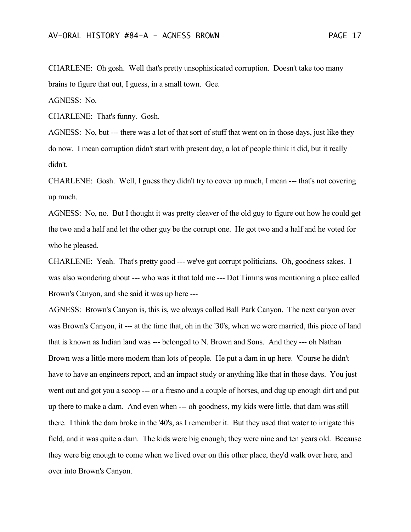CHARLENE: Oh gosh. Well that's pretty unsophisticated corruption. Doesn't take too many brains to figure that out, I guess, in a small town. Gee.

AGNESS: No.

CHARLENE: That's funny. Gosh.

AGNESS: No, but --- there was a lot of that sort of stuff that went on in those days, just like they do now. I mean corruption didn't start with present day, a lot of people think it did, but it really didn't.

CHARLENE: Gosh. Well, I guess they didn't try to cover up much, I mean --- that's not covering up much.

AGNESS: No, no. But I thought it was pretty cleaver of the old guy to figure out how he could get the two and a half and let the other guy be the corrupt one. He got two and a half and he voted for who he pleased.

CHARLENE: Yeah. That's pretty good --- we've got corrupt politicians. Oh, goodness sakes. I was also wondering about --- who was it that told me --- Dot Timms was mentioning a place called Brown's Canyon, and she said it was up here ---

AGNESS: Brown's Canyon is, this is, we always called Ball Park Canyon. The next canyon over was Brown's Canyon, it --- at the time that, oh in the '30's, when we were married, this piece of land that is known as Indian land was --- belonged to N. Brown and Sons. And they --- oh Nathan Brown was a little more modern than lots of people. He put a dam in up here. 'Course he didn't have to have an engineers report, and an impact study or anything like that in those days. You just went out and got you a scoop --- or a fresno and a couple of horses, and dug up enough dirt and put up there to make a dam. And even when --- oh goodness, my kids were little, that dam was still there. I think the dam broke in the '40's, as I remember it. But they used that water to irrigate this field, and it was quite a dam. The kids were big enough; they were nine and ten years old. Because they were big enough to come when we lived over on this other place, they'd walk over here, and over into Brown's Canyon.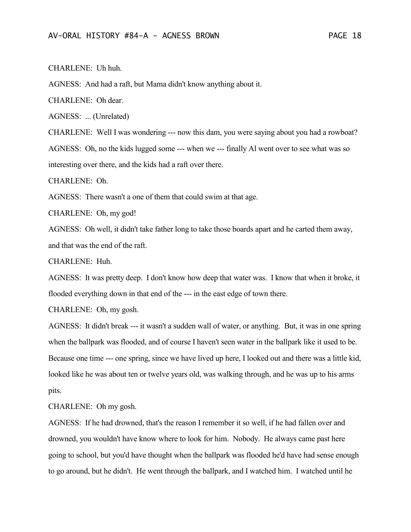CHARLENE: Uh huh.

AGNESS: And had a raft, but Mama didn't know anything about it.

CHARLENE: Oh dear.

AGNESS: ... (Unrelated)

CHARLENE: Well I was wondering --- now this dam, you were saying about you had a rowboat? AGNESS: Oh, no the kids lugged some --- when we --- finally Al went over to see what was so interesting over there, and the kids had a raft over there.

CHARLENE: Oh.

AGNESS: There wasn't a one of them that could swim at that age.

CHARLENE: Oh, my god!

AGNESS: Oh well, it didn't take father long to take those boards apart and he carted them away, and that was the end of the raft.

CHARLENE: Huh.

AGNESS: It was pretty deep. I don't know how deep that water was. I know that when it broke, it flooded everything down in that end of the --- in the east edge of town there.

CHARLENE: Oh, my gosh.

AGNESS: It didn't break --- it wasn't a sudden wall of water, or anything. But, it was in one spring when the ballpark was flooded, and of course I haven't seen water in the ballpark like it used to be. Because one time --- one spring, since we have lived up here, I looked out and there was a little kid, looked like he was about ten or twelve years old, was walking through, and he was up to his arms pits.

CHARLENE: Oh my gosh.

AGNESS: If he had drowned, that's the reason I remember it so well, if he had fallen over and drowned, you wouldn't have know where to look for him. Nobody. He always came past here going to school, but you'd have thought when the ballpark was flooded he'd have had sense enough to go around, but he didn't. He went through the ballpark, and I watched him. I watched until he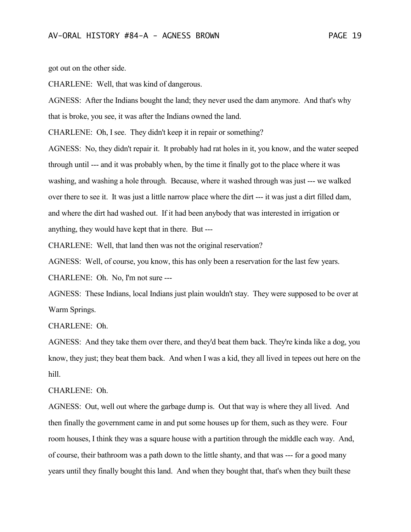got out on the other side.

CHARLENE: Well, that was kind of dangerous.

AGNESS: After the Indians bought the land; they never used the dam anymore. And that's why that is broke, you see, it was after the Indians owned the land.

CHARLENE: Oh, I see. They didn't keep it in repair or something?

AGNESS: No, they didn't repair it. It probably had rat holes in it, you know, and the water seeped through until --- and it was probably when, by the time it finally got to the place where it was washing, and washing a hole through. Because, where it washed through was just --- we walked over there to see it. It was just a little narrow place where the dirt --- it was just a dirt filled dam, and where the dirt had washed out. If it had been anybody that was interested in irrigation or anything, they would have kept that in there. But ---

CHARLENE: Well, that land then was not the original reservation?

AGNESS: Well, of course, you know, this has only been a reservation for the last few years.

CHARLENE: Oh. No, I'm not sure ---

AGNESS: These Indians, local Indians just plain wouldn't stay. They were supposed to be over at Warm Springs.

CHARLENE: Oh.

AGNESS: And they take them over there, and they'd beat them back. They're kinda like a dog, you know, they just; they beat them back. And when I was a kid, they all lived in tepees out here on the hill.

#### CHARLENE: Oh.

AGNESS: Out, well out where the garbage dump is. Out that way is where they all lived. And then finally the government came in and put some houses up for them, such as they were. Four room houses, I think they was a square house with a partition through the middle each way. And, of course, their bathroom was a path down to the little shanty, and that was --- for a good many years until they finally bought this land. And when they bought that, that's when they built these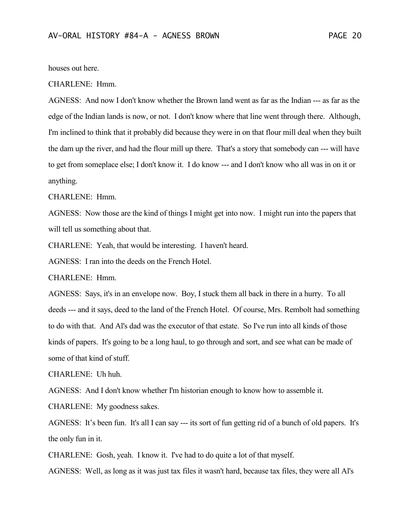houses out here.

CHARLENE: Hmm.

AGNESS: And now I don't know whether the Brown land went as far as the Indian --- as far as the edge of the Indian lands is now, or not. I don't know where that line went through there. Although, I'm inclined to think that it probably did because they were in on that flour mill deal when they built the dam up the river, and had the flour mill up there. That's a story that somebody can --- will have to get from someplace else; I don't know it. I do know --- and I don't know who all was in on it or anything.

CHARLENE: Hmm.

AGNESS: Now those are the kind of things I might get into now. I might run into the papers that will tell us something about that.

CHARLENE: Yeah, that would be interesting. I haven't heard.

AGNESS: I ran into the deeds on the French Hotel.

CHARLENE: Hmm.

AGNESS: Says, it's in an envelope now. Boy, I stuck them all back in there in a hurry. To all deeds --- and it says, deed to the land of the French Hotel. Of course, Mrs. Rembolt had something to do with that. And Al's dad was the executor of that estate. So I've run into all kinds of those kinds of papers. It's going to be a long haul, to go through and sort, and see what can be made of some of that kind of stuff.

CHARLENE: Uh huh.

AGNESS: And I don't know whether I'm historian enough to know how to assemble it.

CHARLENE: My goodness sakes.

AGNESS: It's been fun. It's all I can say --- its sort of fun getting rid of a bunch of old papers. It's the only fun in it.

CHARLENE: Gosh, yeah. I know it. I've had to do quite a lot of that myself.

AGNESS: Well, as long as it was just tax files it wasn't hard, because tax files, they were all Al's